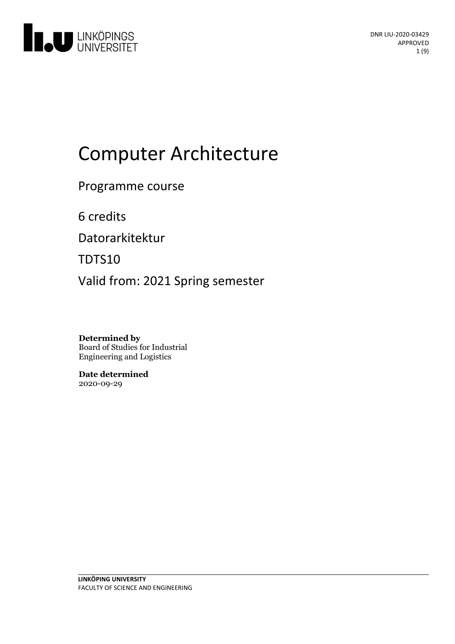

# Computer Architecture

Programme course

6 credits

Datorarkitektur

TDTS10

Valid from: 2021 Spring semester

**Determined by** Board of Studies for Industrial Engineering and Logistics

**Date determined** 2020-09-29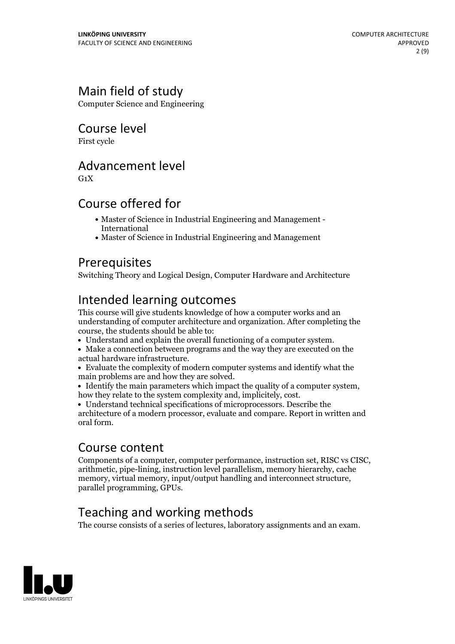# Main field of study

Computer Science and Engineering

# Course level

First cycle

## Advancement level

 $G_1X$ 

# Course offered for

- Master of Science in Industrial Engineering and Management International
- Master of Science in Industrial Engineering and Management

# Prerequisites

Switching Theory and Logical Design, Computer Hardware and Architecture

# Intended learning outcomes

This course will give students knowledge of how a computer works and an understanding of computer architecture and organization. After completing the course, the students should be able to:<br>• Understand and explain the overall functioning of a computer system.

- 
- Make a connection between programs and the way they are executed on the
- Evaluate the complexity of modern computer systems and identify what the main problems are and how they are solved.

• Identify the main parameters which impact the quality of a computer system, how they relate to the system complexity and, implicitely, cost.<br>• Understand technical specifications of microprocessors. Describe the

architecture of a modern processor, evaluate and compare. Report in written and oral form.

### Course content

Components of <sup>a</sup> computer, computer performance, instruction set, RISC vs CISC, arithmetic, pipe-lining, instruction levelparallelism, memory hierarchy, cache memory, virtual memory, input/output handling and interconnect structure, parallel programming, GPUs.

# Teaching and working methods

The course consists of a series of lectures, laboratory assignments and an exam.

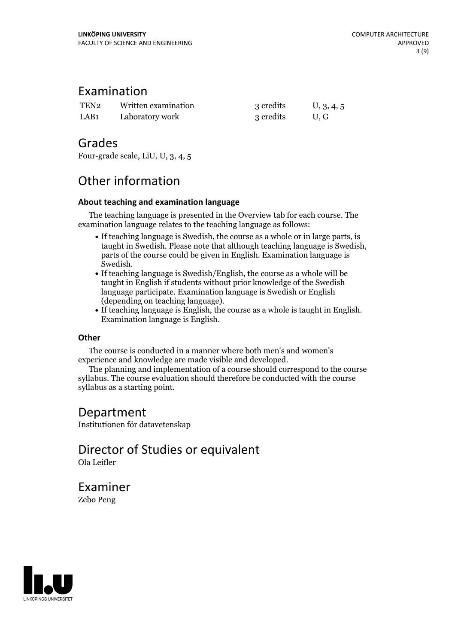### Examination

| TEN <sub>2</sub> | Written examination | 3 credits | U, 3, 4, 5 |
|------------------|---------------------|-----------|------------|
| LAB <sub>1</sub> | Laboratory work     | 3 credits | U.G        |

### Grades

Four-grade scale, LiU, U, 3, 4, 5

# Other information

### **About teaching and examination language**

The teaching language is presented in the Overview tab for each course. The examination language relates to the teaching language as follows:

- If teaching language is Swedish, the course as a whole or in large parts, is taught in Swedish. Please note that although teaching language is Swedish, parts of the course could be given in English. Examination language is
- $\bullet$  If teaching language is Swedish/English, the course as a whole will be taught in English if students without prior knowledge of the Swedish language participate. Examination language is Swedish or English
- (depending on teaching language).<br>• If teaching language is English, the course as a whole is taught in English.<br>Examination language is English.

### **Other**

The course is conducted in a manner where both men's and women's

The planning and implementation of a course should correspond to the course syllabus. The course evaluation should therefore be conducted with the course syllabus as a starting point.

# Department

Institutionen för datavetenskap

Director of Studies or equivalent Ola Leifler

Examiner Zebo Peng

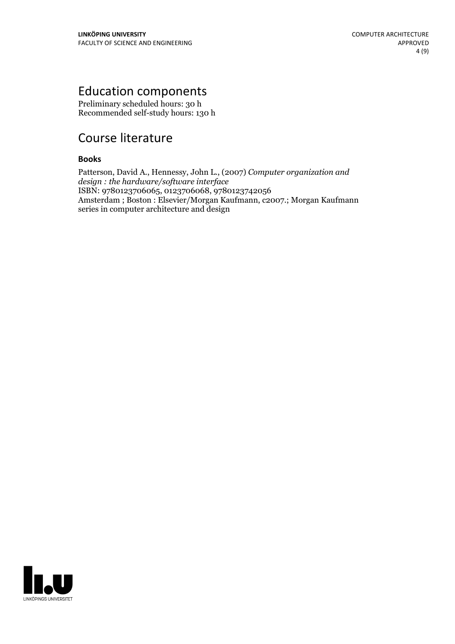# Education components

Preliminary scheduled hours: 30 h Recommended self-study hours: 130 h

# Course literature

### **Books**

Patterson, David A., Hennessy, John L., (2007) *Computer organization and design : the hardware/software interface* ISBN: 9780123706065, 0123706068, 9780123742056 Amsterdam ; Boston : Elsevier/Morgan Kaufmann, c2007.; Morgan Kaufmann series in computer architecture and design

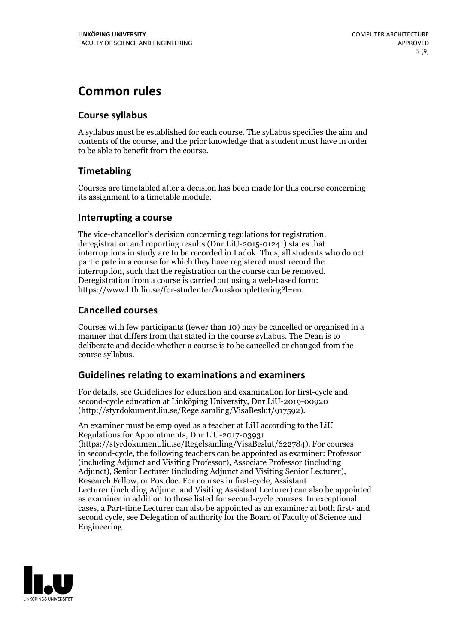# **Common rules**

### **Course syllabus**

A syllabus must be established for each course. The syllabus specifies the aim and contents of the course, and the prior knowledge that a student must have in order to be able to benefit from the course.

### **Timetabling**

Courses are timetabled after a decision has been made for this course concerning its assignment to a timetable module.

### **Interrupting a course**

The vice-chancellor's decision concerning regulations for registration, deregistration and reporting results (Dnr LiU-2015-01241) states that interruptions in study are to be recorded in Ladok. Thus, all students who do not participate in a course for which they have registered must record the interruption, such that the registration on the course can be removed. Deregistration from <sup>a</sup> course is carried outusing <sup>a</sup> web-based form: https://www.lith.liu.se/for-studenter/kurskomplettering?l=en.

### **Cancelled courses**

Courses with few participants (fewer than 10) may be cancelled or organised in a manner that differs from that stated in the course syllabus. The Dean is to deliberate and decide whether a course is to be cancelled or changed from the course syllabus.

### **Guidelines relatingto examinations and examiners**

For details, see Guidelines for education and examination for first-cycle and second-cycle education at Linköping University, Dnr LiU-2019-00920 (http://styrdokument.liu.se/Regelsamling/VisaBeslut/917592).

An examiner must be employed as a teacher at LiU according to the LiU Regulations for Appointments, Dnr LiU-2017-03931 (https://styrdokument.liu.se/Regelsamling/VisaBeslut/622784). For courses in second-cycle, the following teachers can be appointed as examiner: Professor (including Adjunct and Visiting Professor), Associate Professor (including Adjunct), Senior Lecturer (including Adjunct and Visiting Senior Lecturer), Research Fellow, or Postdoc. For courses in first-cycle, Assistant Lecturer (including Adjunct and Visiting Assistant Lecturer) can also be appointed as examiner in addition to those listed for second-cycle courses. In exceptional cases, a Part-time Lecturer can also be appointed as an examiner at both first- and second cycle, see Delegation of authority for the Board of Faculty of Science and Engineering.

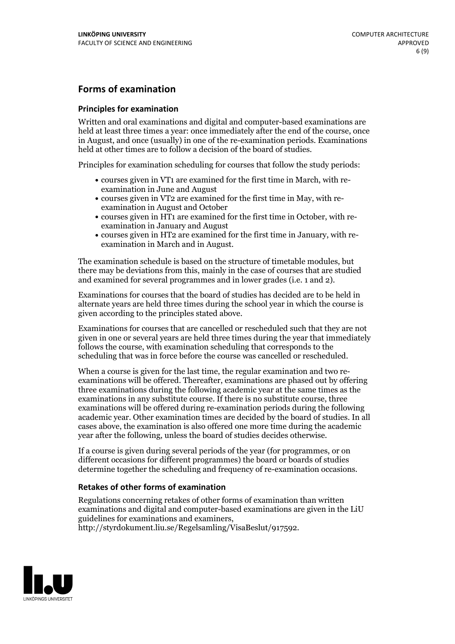### **Forms of examination**

### **Principles for examination**

Written and oral examinations and digital and computer-based examinations are held at least three times a year: once immediately after the end of the course, once in August, and once (usually) in one of the re-examination periods. Examinations held at other times are to follow a decision of the board of studies.

Principles for examination scheduling for courses that follow the study periods:

- courses given in VT1 are examined for the first time in March, with re-examination in June and August
- courses given in VT2 are examined for the first time in May, with re-examination in August and October
- courses given in HT1 are examined for the first time in October, with re-examination in January and August
- courses given in HT2 are examined for the first time in January, with re-examination in March and in August.

The examination schedule is based on the structure of timetable modules, but there may be deviations from this, mainly in the case of courses that are studied and examined for several programmes and in lower grades (i.e. 1 and 2).

Examinations for courses that the board of studies has decided are to be held in alternate years are held three times during the school year in which the course is given according to the principles stated above.

Examinations for courses that are cancelled orrescheduled such that they are not given in one or several years are held three times during the year that immediately follows the course, with examination scheduling that corresponds to the scheduling that was in force before the course was cancelled or rescheduled.

When a course is given for the last time, the regular examination and two re-<br>examinations will be offered. Thereafter, examinations are phased out by offering three examinations during the following academic year at the same times as the examinations in any substitute course. If there is no substitute course, three examinations will be offered during re-examination periods during the following academic year. Other examination times are decided by the board of studies. In all cases above, the examination is also offered one more time during the academic year after the following, unless the board of studies decides otherwise.

If a course is given during several periods of the year (for programmes, or on different occasions for different programmes) the board or boards of studies determine together the scheduling and frequency of re-examination occasions.

### **Retakes of other forms of examination**

Regulations concerning retakes of other forms of examination than written examinations and digital and computer-based examinations are given in the LiU guidelines for examinations and examiners, http://styrdokument.liu.se/Regelsamling/VisaBeslut/917592.

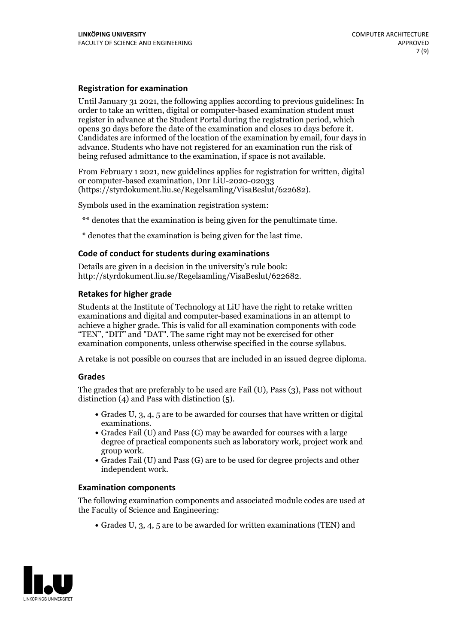### **Registration for examination**

Until January 31 2021, the following applies according to previous guidelines: In order to take an written, digital or computer-based examination student must register in advance at the Student Portal during the registration period, which Candidates are informed of the location of the examination by email, four days in advance. Students who have not registered for an examination run the risk of being refused admittance to the examination, if space is not available.

From February 1 2021, new guidelines applies for registration for written, digital or computer-based examination, Dnr LiU-2020-02033 (https://styrdokument.liu.se/Regelsamling/VisaBeslut/622682).

Symbols used in the examination registration system:

\*\* denotes that the examination is being given for the penultimate time.

\* denotes that the examination is being given for the last time.

#### **Code of conduct for students during examinations**

Details are given in a decision in the university's rule book: http://styrdokument.liu.se/Regelsamling/VisaBeslut/622682.

#### **Retakes for higher grade**

Students at the Institute of Technology at LiU have the right to retake written examinations and digital and computer-based examinations in an attempt to achieve a higher grade. This is valid for all examination components with code "TEN", "DIT" and "DAT". The same right may not be exercised for other examination components, unless otherwise specified in the course syllabus.

A retake is not possible on courses that are included in an issued degree diploma.

#### **Grades**

The grades that are preferably to be used are Fail (U), Pass (3), Pass not without distinction  $(4)$  and Pass with distinction  $(5)$ .

- Grades U, 3, 4, 5 are to be awarded for courses that have written or digital examinations.<br>• Grades Fail (U) and Pass (G) may be awarded for courses with a large
- degree of practical components such as laboratory work, project work and
- $\bullet$  Grades Fail (U) and Pass (G) are to be used for degree projects and other independent work.

#### **Examination components**

The following examination components and associated module codes are used at the Faculty of Science and Engineering:

Grades U, 3, 4, 5 are to be awarded for written examinations (TEN) and

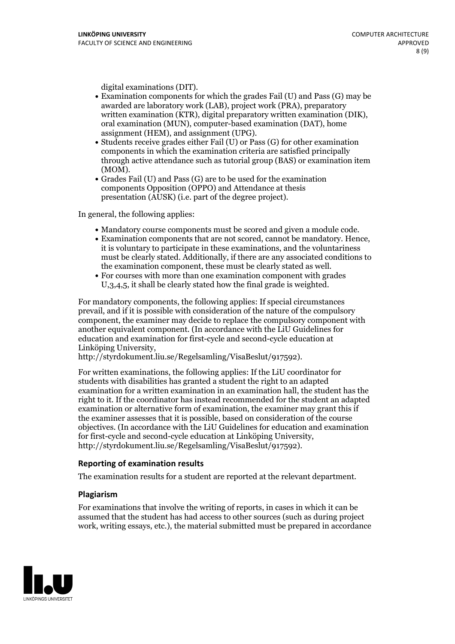- digital examinations (DIT).<br>• Examination components for which the grades Fail (U) and Pass (G) may be awarded are laboratory work (LAB), project work (PRA), preparatory written examination (KTR), digital preparatory written examination (DIK), oral examination (MUN), computer-based examination (DAT), home
- assignment (HEM), and assignment (UPG).<br>• Students receive grades either Fail (U) or Pass (G) for other examination components in which the examination criteria are satisfied principally through active attendance such as tutorial group (BAS) or examination item
- (MOM).<br>• Grades Fail (U) and Pass (G) are to be used for the examination components Opposition (OPPO) and Attendance at thesis presentation (AUSK) (i.e. part of the degree project).

In general, the following applies:

- 
- Mandatory course components must be scored and given <sup>a</sup> module code. Examination components that are not scored, cannot be mandatory. Hence, it is voluntary to participate in these examinations, and the voluntariness must be clearly stated. Additionally, if there are any associated conditions to the examination component, these must be clearly stated as well.<br>• For courses with more than one examination component with grades
- U,3,4,5, it shall be clearly stated how the final grade is weighted.

For mandatory components, the following applies: If special circumstances prevail, and if it is possible with consideration of the nature ofthe compulsory component, the examiner may decide to replace the compulsory component with another equivalent component. (In accordance with the LiU Guidelines for education and examination for first-cycle and second-cycle education at Linköping University, http://styrdokument.liu.se/Regelsamling/VisaBeslut/917592).

For written examinations, the following applies: If the LiU coordinator for students with disabilities has granted a student the right to an adapted examination for a written examination in an examination hall, the student has the right to it. If the coordinator has instead recommended for the student an adapted examination or alternative form of examination, the examiner may grant this if the examiner assesses that it is possible, based on consideration of the course objectives. (In accordance with the LiU Guidelines for education and examination for first-cycle and second-cycle education at Linköping University, http://styrdokument.liu.se/Regelsamling/VisaBeslut/917592).

#### **Reporting of examination results**

The examination results for a student are reported at the relevant department.

#### **Plagiarism**

For examinations that involve the writing of reports, in cases in which it can be assumed that the student has had access to other sources (such as during project work, writing essays, etc.), the material submitted must be prepared in accordance